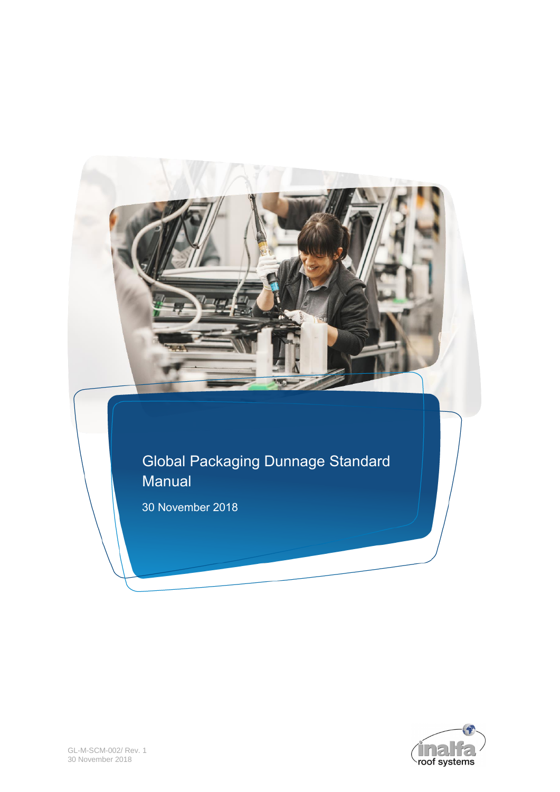

Global Packaging Dunnage Standard Manual

30 November 2018

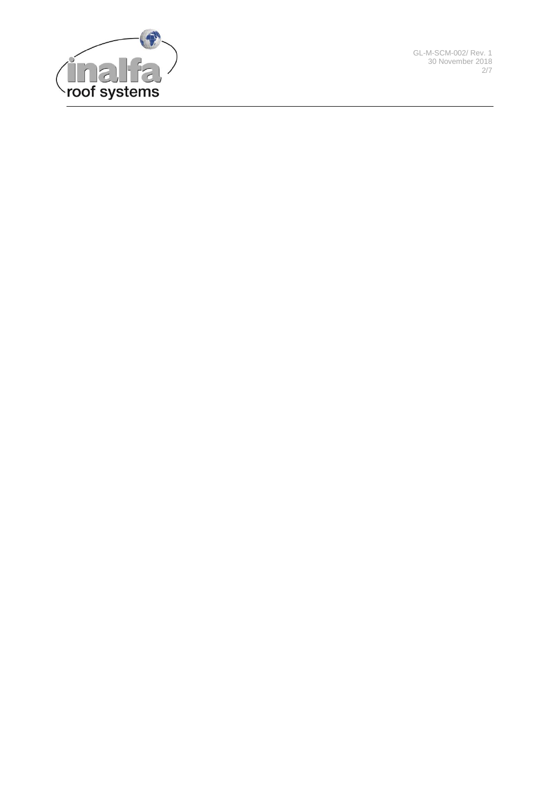

GL-M-SCM-002/ Rev. 1 30 November 2018 2/7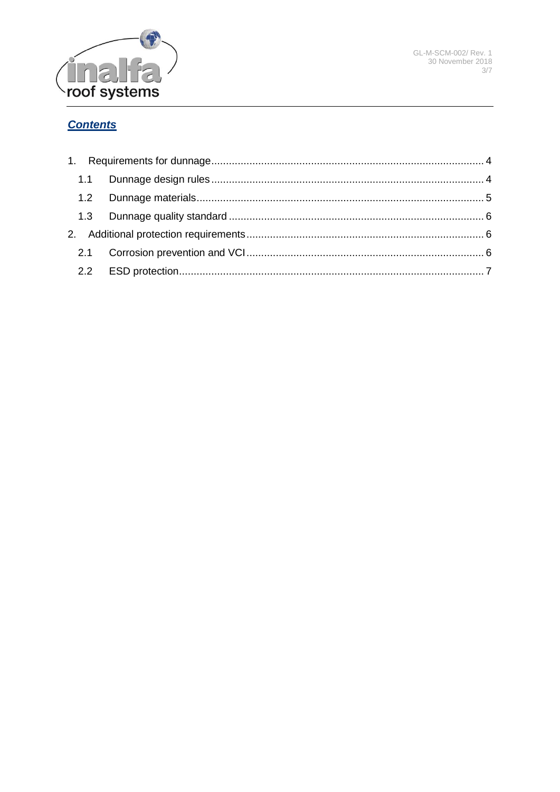

# **Contents**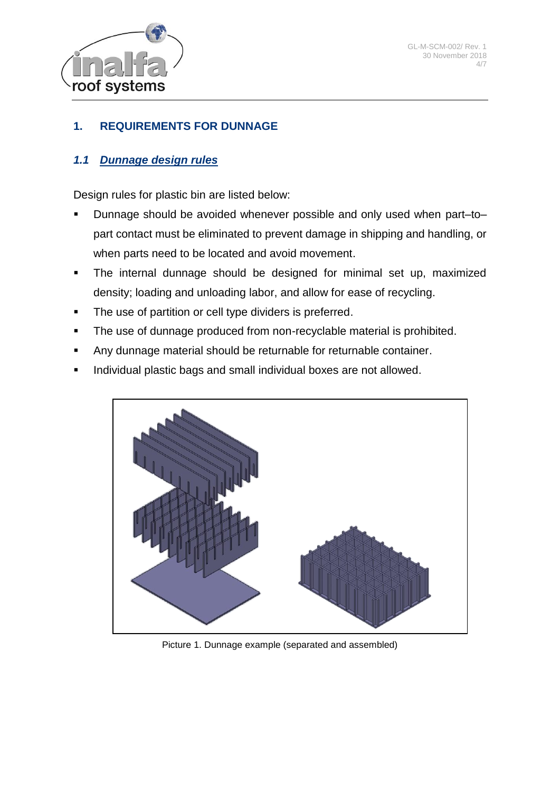

### <span id="page-3-0"></span>**1. REQUIREMENTS FOR DUNNAGE**

#### <span id="page-3-1"></span>*1.1 Dunnage design rules*

Design rules for plastic bin are listed below:

- Dunnage should be avoided whenever possible and only used when part–to– part contact must be eliminated to prevent damage in shipping and handling, or when parts need to be located and avoid movement.
- The internal dunnage should be designed for minimal set up, maximized density; loading and unloading labor, and allow for ease of recycling.
- The use of partition or cell type dividers is preferred.
- The use of dunnage produced from non-recyclable material is prohibited.
- Any dunnage material should be returnable for returnable container.
- Individual plastic bags and small individual boxes are not allowed.



Picture 1. Dunnage example (separated and assembled)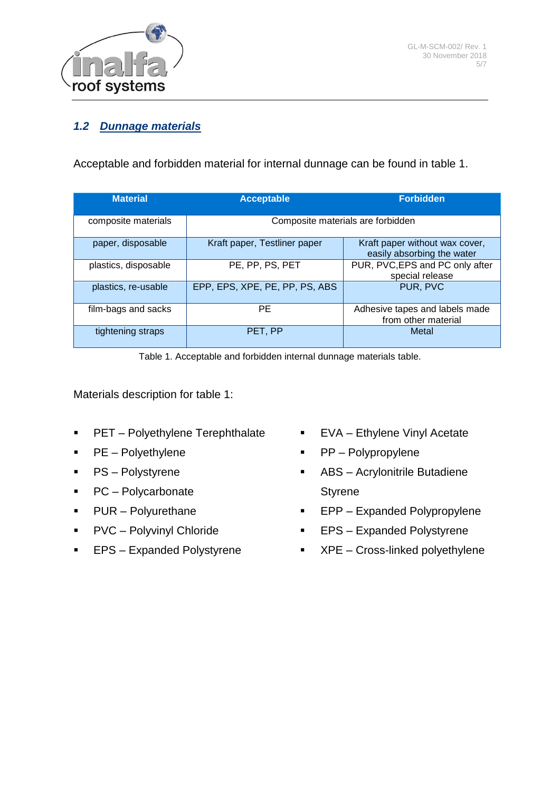

### <span id="page-4-0"></span>*1.2 Dunnage materials*

Acceptable and forbidden material for internal dunnage can be found in table 1.

| <b>Material</b>      | <b>Acceptable</b>                 | <b>Forbidden</b>                                             |
|----------------------|-----------------------------------|--------------------------------------------------------------|
| composite materials  | Composite materials are forbidden |                                                              |
| paper, disposable    | Kraft paper, Testliner paper      | Kraft paper without wax cover,<br>easily absorbing the water |
| plastics, disposable | PE, PP, PS, PET                   | PUR, PVC, EPS and PC only after<br>special release           |
| plastics, re-usable  | EPP, EPS, XPE, PE, PP, PS, ABS    | PUR, PVC                                                     |
| film-bags and sacks  | РE                                | Adhesive tapes and labels made<br>from other material        |
| tightening straps    | PET, PP                           | Metal                                                        |

Table 1. Acceptable and forbidden internal dunnage materials table.

Materials description for table 1:

- **PET** Polyethylene Terephthalate
- $\blacksquare$  PE Polyethylene
- **PS** Polystyrene
- PC Polycarbonate
- **PUR** Polyurethane
- **PVC** Polyvinyl Chloride
- **EPS** Expanded Polystyrene
- **EVA** Ethylene Vinyl Acetate
- **PP** Polypropylene
- ABS Acrylonitrile Butadiene **Styrene**
- **EPP** Expanded Polypropylene
- **EPS** Expanded Polystyrene
- XPE Cross-linked polyethylene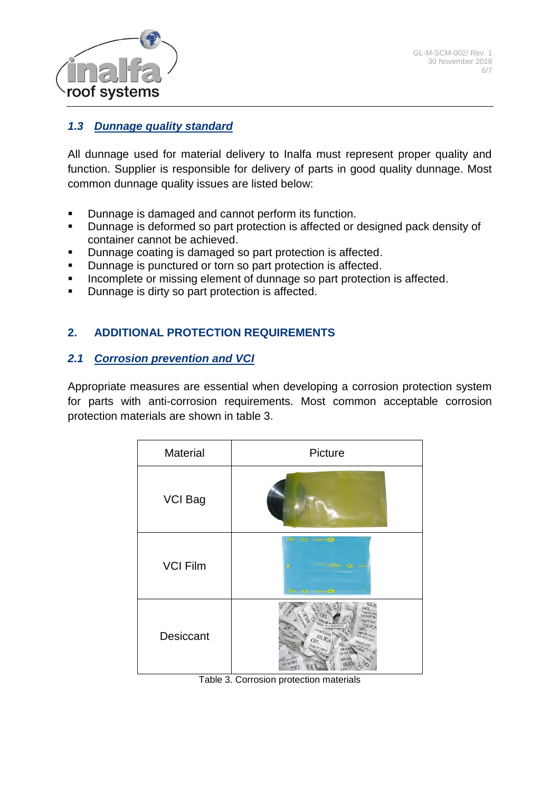

GL-M-SCM-002/ Rev. 1 30 November 2018 6/7

#### <span id="page-5-0"></span>*1.3 Dunnage quality standard*

All dunnage used for material delivery to Inalfa must represent proper quality and function. Supplier is responsible for delivery of parts in good quality dunnage. Most common dunnage quality issues are listed below:

- **•** Dunnage is damaged and cannot perform its function.
- **Dunnage is deformed so part protection is affected or designed pack density of** container cannot be achieved.
- **•** Dunnage coating is damaged so part protection is affected.
- **•** Dunnage is punctured or torn so part protection is affected.
- **Incomplete or missing element of dunnage so part protection is affected.**
- **Dunnage is dirty so part protection is affected.**

# <span id="page-5-1"></span>**2. ADDITIONAL PROTECTION REQUIREMENTS**

#### <span id="page-5-2"></span>*2.1 Corrosion prevention and VCI*

Appropriate measures are essential when developing a corrosion protection system for parts with anti-corrosion requirements. Most common acceptable corrosion protection materials are shown in table 3.

| <b>Material</b> | Picture                                                                                                                                                                                                                                                                             |
|-----------------|-------------------------------------------------------------------------------------------------------------------------------------------------------------------------------------------------------------------------------------------------------------------------------------|
| <b>VCI Bag</b>  |                                                                                                                                                                                                                                                                                     |
| <b>VCI Film</b> | $\Rightarrow$ $\circ$ $\Rightarrow$ $\bullet$ $\Rightarrow$ $\bullet$ $\bullet$<br><b>CONTRACTOR</b>                                                                                                                                                                                |
| Desiccant       | $\frac{\text{SILIC}}{\text{GEL}}$<br>THROW AWA<br><b>DESICCANT</b><br>DO / 白土鱼石原网<br><b>SILICA</b><br>GEL<br>DESICCANT<br><b>THROW AWAY</b><br>$SL_{ICA}$<br><b>DO NOT EAT</b><br>GEL<br><b>DESICCANT</b><br>ŒT<br>THROW AWAY<br><b>TODAOT</b><br>THROW<br>"DO NOT<br><b>nestCC</b> |

Table 3. Corrosion protection materials